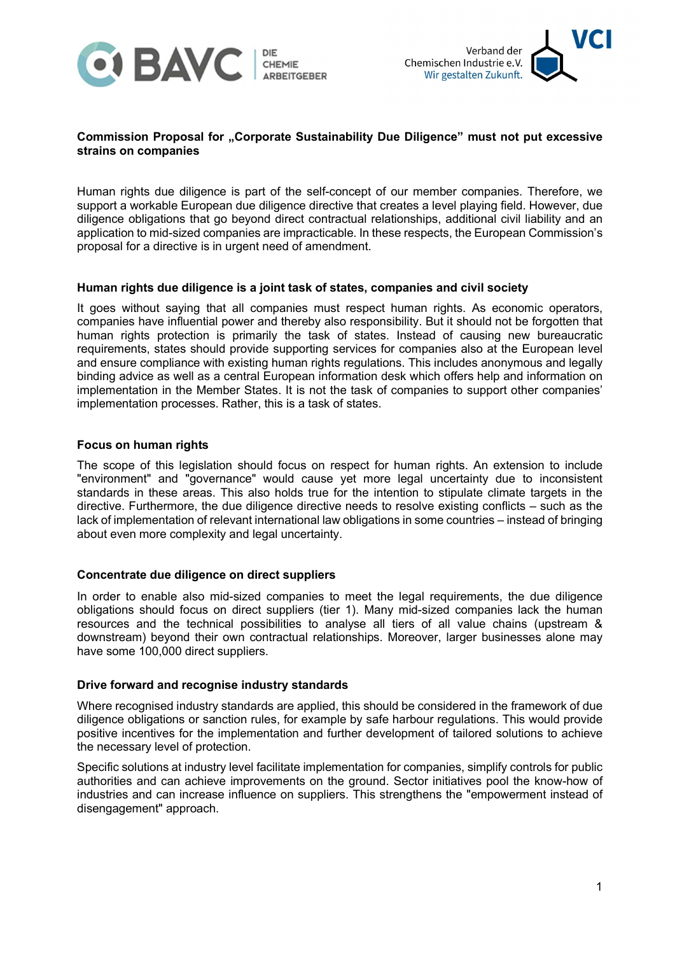



# Commission Proposal for "Corporate Sustainability Due Diligence" must not put excessive strains on companies

Human rights due diligence is part of the self-concept of our member companies. Therefore, we support a workable European due diligence directive that creates a level playing field. However, due diligence obligations that go beyond direct contractual relationships, additional civil liability and an application to mid-sized companies are impracticable. In these respects, the European Commission's proposal for a directive is in urgent need of amendment.

# Human rights due diligence is a joint task of states, companies and civil society

It goes without saying that all companies must respect human rights. As economic operators, companies have influential power and thereby also responsibility. But it should not be forgotten that human rights protection is primarily the task of states. Instead of causing new bureaucratic requirements, states should provide supporting services for companies also at the European level and ensure compliance with existing human rights regulations. This includes anonymous and legally binding advice as well as a central European information desk which offers help and information on implementation in the Member States. It is not the task of companies to support other companies' implementation processes. Rather, this is a task of states.

#### Focus on human rights

The scope of this legislation should focus on respect for human rights. An extension to include "environment" and "governance" would cause yet more legal uncertainty due to inconsistent standards in these areas. This also holds true for the intention to stipulate climate targets in the directive. Furthermore, the due diligence directive needs to resolve existing conflicts – such as the lack of implementation of relevant international law obligations in some countries – instead of bringing about even more complexity and legal uncertainty.

#### Concentrate due diligence on direct suppliers

In order to enable also mid-sized companies to meet the legal requirements, the due diligence obligations should focus on direct suppliers (tier 1). Many mid-sized companies lack the human resources and the technical possibilities to analyse all tiers of all value chains (upstream & downstream) beyond their own contractual relationships. Moreover, larger businesses alone may have some 100,000 direct suppliers.

## Drive forward and recognise industry standards

Where recognised industry standards are applied, this should be considered in the framework of due diligence obligations or sanction rules, for example by safe harbour regulations. This would provide positive incentives for the implementation and further development of tailored solutions to achieve the necessary level of protection.

Specific solutions at industry level facilitate implementation for companies, simplify controls for public authorities and can achieve improvements on the ground. Sector initiatives pool the know-how of industries and can increase influence on suppliers. This strengthens the "empowerment instead of disengagement" approach.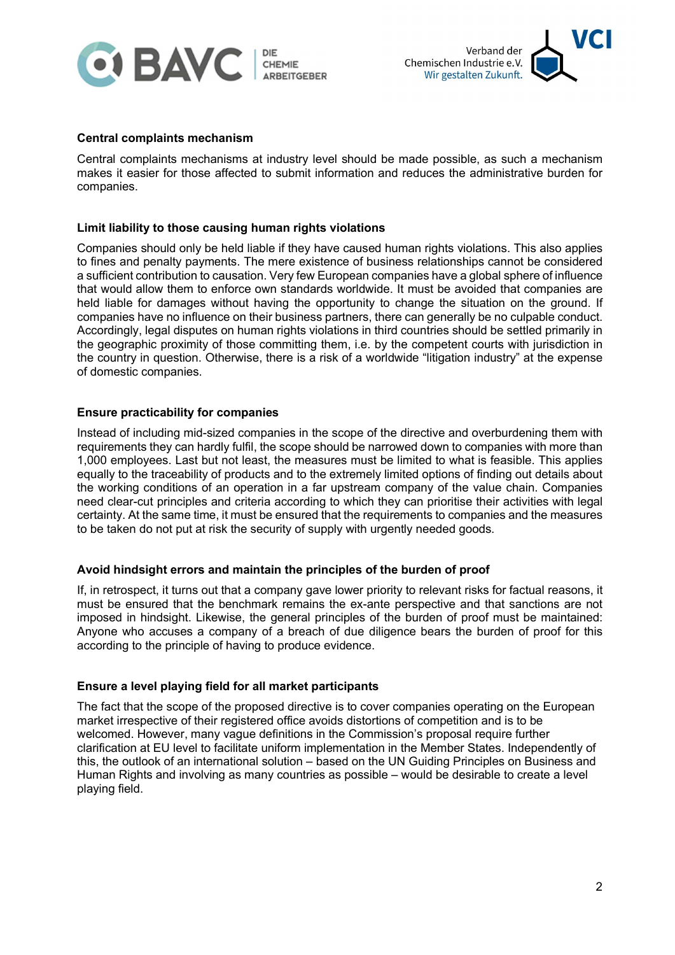



#### Central complaints mechanism

Central complaints mechanisms at industry level should be made possible, as such a mechanism makes it easier for those affected to submit information and reduces the administrative burden for companies.

#### Limit liability to those causing human rights violations

Companies should only be held liable if they have caused human rights violations. This also applies to fines and penalty payments. The mere existence of business relationships cannot be considered a sufficient contribution to causation. Very few European companies have a global sphere of influence that would allow them to enforce own standards worldwide. It must be avoided that companies are held liable for damages without having the opportunity to change the situation on the ground. If companies have no influence on their business partners, there can generally be no culpable conduct. Accordingly, legal disputes on human rights violations in third countries should be settled primarily in the geographic proximity of those committing them, i.e. by the competent courts with jurisdiction in the country in question. Otherwise, there is a risk of a worldwide "litigation industry" at the expense of domestic companies.

#### Ensure practicability for companies

Instead of including mid-sized companies in the scope of the directive and overburdening them with requirements they can hardly fulfil, the scope should be narrowed down to companies with more than 1,000 employees. Last but not least, the measures must be limited to what is feasible. This applies equally to the traceability of products and to the extremely limited options of finding out details about the working conditions of an operation in a far upstream company of the value chain. Companies need clear-cut principles and criteria according to which they can prioritise their activities with legal certainty. At the same time, it must be ensured that the requirements to companies and the measures to be taken do not put at risk the security of supply with urgently needed goods.

## Avoid hindsight errors and maintain the principles of the burden of proof

If, in retrospect, it turns out that a company gave lower priority to relevant risks for factual reasons, it must be ensured that the benchmark remains the ex-ante perspective and that sanctions are not imposed in hindsight. Likewise, the general principles of the burden of proof must be maintained: Anyone who accuses a company of a breach of due diligence bears the burden of proof for this according to the principle of having to produce evidence.

#### Ensure a level playing field for all market participants

The fact that the scope of the proposed directive is to cover companies operating on the European market irrespective of their registered office avoids distortions of competition and is to be welcomed. However, many vague definitions in the Commission's proposal require further clarification at EU level to facilitate uniform implementation in the Member States. Independently of this, the outlook of an international solution – based on the UN Guiding Principles on Business and Human Rights and involving as many countries as possible – would be desirable to create a level playing field.